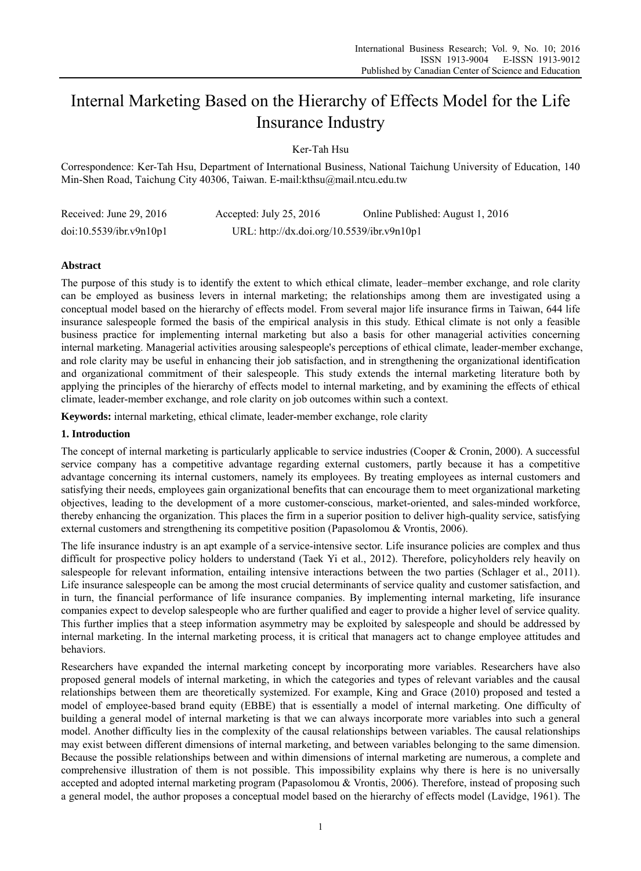# Internal Marketing Based on the Hierarchy of Effects Model for the Life Insurance Industry

Ker-Tah Hsu

Correspondence: Ker-Tah Hsu, Department of International Business, National Taichung University of Education, 140 Min-Shen Road, Taichung City 40306, Taiwan. E-mail:kthsu@mail.ntcu.edu.tw

| Received: June 29, $2016$ | Accepted: July 25, 2016                    | Online Published: August 1, 2016 |
|---------------------------|--------------------------------------------|----------------------------------|
| doi:10.5539/ibr.v9n10p1   | URL: http://dx.doi.org/10.5539/ibr.v9n10p1 |                                  |

## **Abstract**

The purpose of this study is to identify the extent to which ethical climate, leader–member exchange, and role clarity can be employed as business levers in internal marketing; the relationships among them are investigated using a conceptual model based on the hierarchy of effects model. From several major life insurance firms in Taiwan, 644 life insurance salespeople formed the basis of the empirical analysis in this study. Ethical climate is not only a feasible business practice for implementing internal marketing but also a basis for other managerial activities concerning internal marketing. Managerial activities arousing salespeople's perceptions of ethical climate, leader-member exchange, and role clarity may be useful in enhancing their job satisfaction, and in strengthening the organizational identification and organizational commitment of their salespeople. This study extends the internal marketing literature both by applying the principles of the hierarchy of effects model to internal marketing, and by examining the effects of ethical climate, leader-member exchange, and role clarity on job outcomes within such a context.

**Keywords:** internal marketing, ethical climate, leader-member exchange, role clarity

## **1. Introduction**

The concept of internal marketing is particularly applicable to service industries (Cooper & Cronin, 2000). A successful service company has a competitive advantage regarding external customers, partly because it has a competitive advantage concerning its internal customers, namely its employees. By treating employees as internal customers and satisfying their needs, employees gain organizational benefits that can encourage them to meet organizational marketing objectives, leading to the development of a more customer-conscious, market-oriented, and sales-minded workforce, thereby enhancing the organization. This places the firm in a superior position to deliver high-quality service, satisfying external customers and strengthening its competitive position (Papasolomou & Vrontis, 2006).

The life insurance industry is an apt example of a service-intensive sector. Life insurance policies are complex and thus difficult for prospective policy holders to understand (Taek Yi et al., 2012). Therefore, policyholders rely heavily on salespeople for relevant information, entailing intensive interactions between the two parties (Schlager et al., 2011). Life insurance salespeople can be among the most crucial determinants of service quality and customer satisfaction, and in turn, the financial performance of life insurance companies. By implementing internal marketing, life insurance companies expect to develop salespeople who are further qualified and eager to provide a higher level of service quality. This further implies that a steep information asymmetry may be exploited by salespeople and should be addressed by internal marketing. In the internal marketing process, it is critical that managers act to change employee attitudes and behaviors.

Researchers have expanded the internal marketing concept by incorporating more variables. Researchers have also proposed general models of internal marketing, in which the categories and types of relevant variables and the causal relationships between them are theoretically systemized. For example, King and Grace (2010) proposed and tested a model of employee-based brand equity (EBBE) that is essentially a model of internal marketing. One difficulty of building a general model of internal marketing is that we can always incorporate more variables into such a general model. Another difficulty lies in the complexity of the causal relationships between variables. The causal relationships may exist between different dimensions of internal marketing, and between variables belonging to the same dimension. Because the possible relationships between and within dimensions of internal marketing are numerous, a complete and comprehensive illustration of them is not possible. This impossibility explains why there is here is no universally accepted and adopted internal marketing program (Papasolomou & Vrontis, 2006). Therefore, instead of proposing such a general model, the author proposes a conceptual model based on the hierarchy of effects model (Lavidge, 1961). The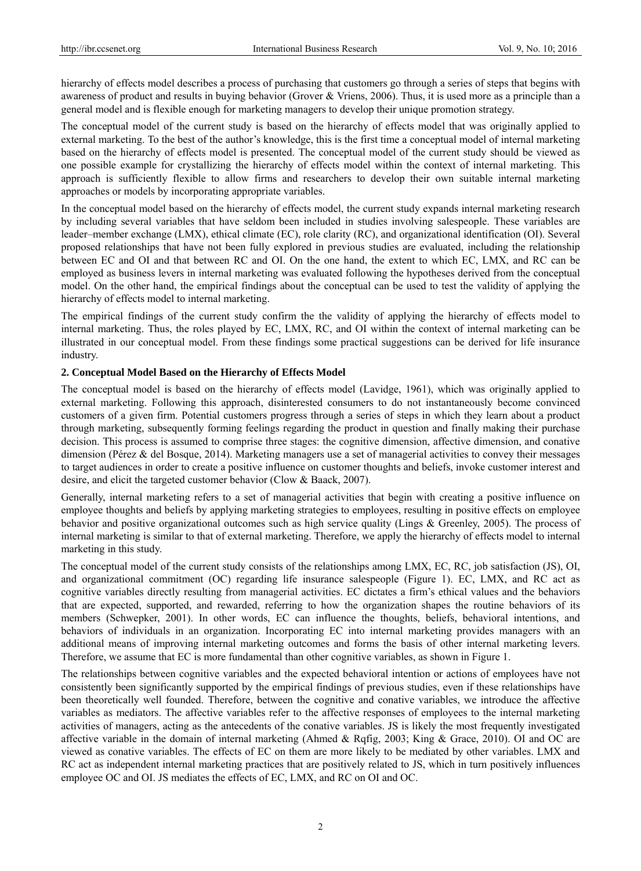hierarchy of effects model describes a process of purchasing that customers go through a series of steps that begins with awareness of product and results in buying behavior (Grover & Vriens, 2006). Thus, it is used more as a principle than a general model and is flexible enough for marketing managers to develop their unique promotion strategy.

The conceptual model of the current study is based on the hierarchy of effects model that was originally applied to external marketing. To the best of the author's knowledge, this is the first time a conceptual model of internal marketing based on the hierarchy of effects model is presented. The conceptual model of the current study should be viewed as one possible example for crystallizing the hierarchy of effects model within the context of internal marketing. This approach is sufficiently flexible to allow firms and researchers to develop their own suitable internal marketing approaches or models by incorporating appropriate variables.

In the conceptual model based on the hierarchy of effects model, the current study expands internal marketing research by including several variables that have seldom been included in studies involving salespeople. These variables are leader–member exchange (LMX), ethical climate (EC), role clarity (RC), and organizational identification (OI). Several proposed relationships that have not been fully explored in previous studies are evaluated, including the relationship between EC and OI and that between RC and OI. On the one hand, the extent to which EC, LMX, and RC can be employed as business levers in internal marketing was evaluated following the hypotheses derived from the conceptual model. On the other hand, the empirical findings about the conceptual can be used to test the validity of applying the hierarchy of effects model to internal marketing.

The empirical findings of the current study confirm the the validity of applying the hierarchy of effects model to internal marketing. Thus, the roles played by EC, LMX, RC, and OI within the context of internal marketing can be illustrated in our conceptual model. From these findings some practical suggestions can be derived for life insurance industry.

## **2. Conceptual Model Based on the Hierarchy of Effects Model**

The conceptual model is based on the hierarchy of effects model (Lavidge, 1961), which was originally applied to external marketing. Following this approach, disinterested consumers to do not instantaneously become convinced customers of a given firm. Potential customers progress through a series of steps in which they learn about a product through marketing, subsequently forming feelings regarding the product in question and finally making their purchase decision. This process is assumed to comprise three stages: the cognitive dimension, affective dimension, and conative dimension (Pérez & del Bosque, 2014). Marketing managers use a set of managerial activities to convey their messages to target audiences in order to create a positive influence on customer thoughts and beliefs, invoke customer interest and desire, and elicit the targeted customer behavior (Clow & Baack, 2007).

Generally, internal marketing refers to a set of managerial activities that begin with creating a positive influence on employee thoughts and beliefs by applying marketing strategies to employees, resulting in positive effects on employee behavior and positive organizational outcomes such as high service quality (Lings & Greenley, 2005). The process of internal marketing is similar to that of external marketing. Therefore, we apply the hierarchy of effects model to internal marketing in this study.

The conceptual model of the current study consists of the relationships among LMX, EC, RC, job satisfaction (JS), OI, and organizational commitment (OC) regarding life insurance salespeople (Figure 1). EC, LMX, and RC act as cognitive variables directly resulting from managerial activities. EC dictates a firm's ethical values and the behaviors that are expected, supported, and rewarded, referring to how the organization shapes the routine behaviors of its members (Schwepker, 2001). In other words, EC can influence the thoughts, beliefs, behavioral intentions, and behaviors of individuals in an organization. Incorporating EC into internal marketing provides managers with an additional means of improving internal marketing outcomes and forms the basis of other internal marketing levers. Therefore, we assume that EC is more fundamental than other cognitive variables, as shown in Figure 1.

The relationships between cognitive variables and the expected behavioral intention or actions of employees have not consistently been significantly supported by the empirical findings of previous studies, even if these relationships have been theoretically well founded. Therefore, between the cognitive and conative variables, we introduce the affective variables as mediators. The affective variables refer to the affective responses of employees to the internal marketing activities of managers, acting as the antecedents of the conative variables. JS is likely the most frequently investigated affective variable in the domain of internal marketing (Ahmed & Rqfig, 2003; King & Grace, 2010). OI and OC are viewed as conative variables. The effects of EC on them are more likely to be mediated by other variables. LMX and RC act as independent internal marketing practices that are positively related to JS, which in turn positively influences employee OC and OI. JS mediates the effects of EC, LMX, and RC on OI and OC.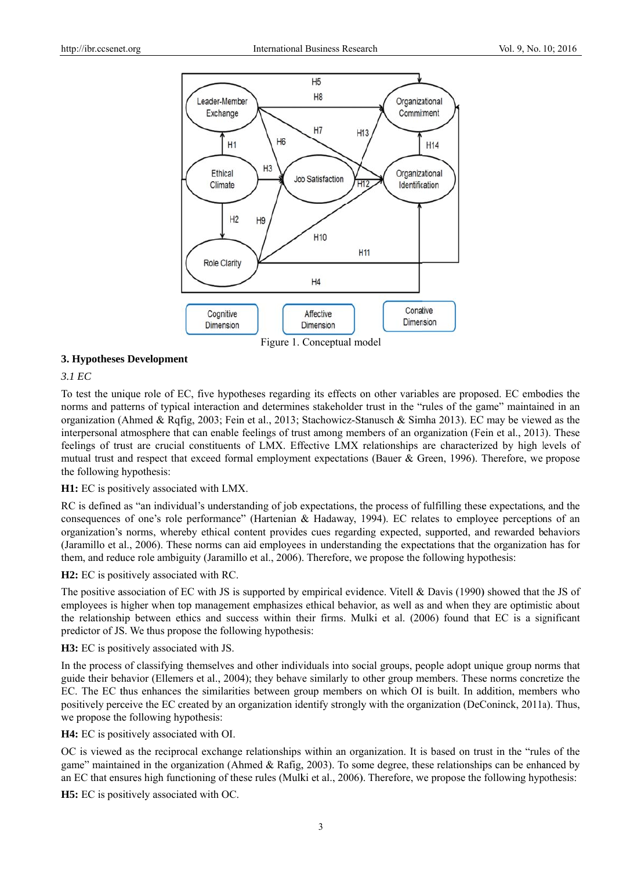

3. Hypotheses Development

## $3.1$  EC

To test the unique role of EC, five hypotheses regarding its effects on other variables are proposed. EC embodies the norms and patterns of typical interaction and determines stakeholder trust in the "rules of the game" maintained in an organization (Ahmed & Rqfig, 2003; Fein et al., 2013; Stachowicz-Stanusch & Simha 2013). EC may be viewed as the interpersonal atmosphere that can enable feelings of trust among members of an organization (Fein et al., 2013). These feelings of trust are crucial constituents of LMX. Effective LMX relationships are characterized by high levels of mutual trust and respect that exceed formal employment expectations (Bauer & Green, 1996). Therefore, we propose the following hypothesis:

# H1: EC is positively associated with LMX.

RC is defined as "an individual's understanding of job expectations, the process of fulfilling these expectations, and the consequences of one's role performance" (Hartenian & Hadaway, 1994). EC relates to employee perceptions of an organization's norms, whereby ethical content provides cues regarding expected, supported, and rewarded behaviors (Jaramillo et al., 2006). These norms can aid employees in understanding the expectations that the organization has for them, and reduce role ambiguity (Jaramillo et al., 2006). Therefore, we propose the following hypothesis:

**H2:** EC is positively associated with RC.

The positive association of EC with JS is supported by empirical evidence. Vitell & Davis (1990) showed that the JS of employees is higher when top management emphasizes ethical behavior, as well as and when they are optimistic about the relationship between ethics and success within their firms. Mulki et al. (2006) found that EC is a significant predictor of JS. We thus propose the following hypothesis:

H3: EC is positively associated with JS.

In the process of classifying themselves and other individuals into social groups, people adopt unique group norms that guide their behavior (Ellemers et al., 2004); they behave similarly to other group members. These norms concretize the EC. The EC thus enhances the similarities between group members on which OI is built. In addition, members who positively perceive the EC created by an organization identify strongly with the organization (DeConinck, 2011a). Thus, we propose the following hypothesis:

**H4:** EC is positively associated with OI.

OC is viewed as the reciprocal exchange relationships within an organization. It is based on trust in the "rules of the game" maintained in the organization (Ahmed & Rafig, 2003). To some degree, these relationships can be enhanced by an EC that ensures high functioning of these rules (Mulki et al., 2006). Therefore, we propose the following hypothesis:

**H5**: EC is positively associated with OC.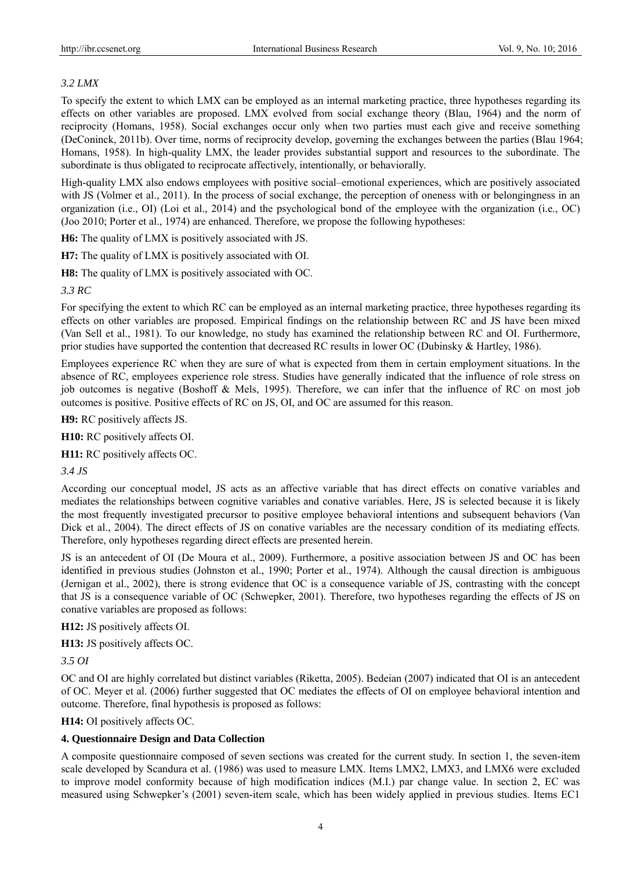# *3.2 LMX*

To specify the extent to which LMX can be employed as an internal marketing practice, three hypotheses regarding its effects on other variables are proposed. LMX evolved from social exchange theory (Blau, 1964) and the norm of reciprocity (Homans, 1958). Social exchanges occur only when two parties must each give and receive something (DeConinck, 2011b). Over time, norms of reciprocity develop, governing the exchanges between the parties (Blau 1964; Homans, 1958). In high-quality LMX, the leader provides substantial support and resources to the subordinate. The subordinate is thus obligated to reciprocate affectively, intentionally, or behaviorally.

High-quality LMX also endows employees with positive social–emotional experiences, which are positively associated with JS (Volmer et al., 2011). In the process of social exchange, the perception of oneness with or belongingness in an organization (i.e., OI) (Loi et al., 2014) and the psychological bond of the employee with the organization (i.e., OC) (Joo 2010; Porter et al., 1974) are enhanced. Therefore, we propose the following hypotheses:

**H6:** The quality of LMX is positively associated with JS.

**H7:** The quality of LMX is positively associated with OI.

**H8:** The quality of LMX is positively associated with OC.

*3.3 RC* 

For specifying the extent to which RC can be employed as an internal marketing practice, three hypotheses regarding its effects on other variables are proposed. Empirical findings on the relationship between RC and JS have been mixed (Van Sell et al., 1981). To our knowledge, no study has examined the relationship between RC and OI. Furthermore, prior studies have supported the contention that decreased RC results in lower OC (Dubinsky & Hartley, 1986).

Employees experience RC when they are sure of what is expected from them in certain employment situations. In the absence of RC, employees experience role stress. Studies have generally indicated that the influence of role stress on job outcomes is negative (Boshoff & Mels, 1995). Therefore, we can infer that the influence of RC on most job outcomes is positive. Positive effects of RC on JS, OI, and OC are assumed for this reason.

**H9:** RC positively affects JS.

**H10:** RC positively affects OI.

**H11:** RC positively affects OC.

*3.4 JS* 

According our conceptual model, JS acts as an affective variable that has direct effects on conative variables and mediates the relationships between cognitive variables and conative variables. Here, JS is selected because it is likely the most frequently investigated precursor to positive employee behavioral intentions and subsequent behaviors (Van Dick et al., 2004). The direct effects of JS on conative variables are the necessary condition of its mediating effects. Therefore, only hypotheses regarding direct effects are presented herein.

JS is an antecedent of OI (De Moura et al., 2009). Furthermore, a positive association between JS and OC has been identified in previous studies (Johnston et al., 1990; Porter et al., 1974). Although the causal direction is ambiguous (Jernigan et al., 2002), there is strong evidence that OC is a consequence variable of JS, contrasting with the concept that JS is a consequence variable of OC (Schwepker, 2001). Therefore, two hypotheses regarding the effects of JS on conative variables are proposed as follows:

**H12:** JS positively affects OI.

**H13:** JS positively affects OC.

*3.5 OI* 

OC and OI are highly correlated but distinct variables (Riketta, 2005). Bedeian (2007) indicated that OI is an antecedent of OC. Meyer et al. (2006) further suggested that OC mediates the effects of OI on employee behavioral intention and outcome. Therefore, final hypothesis is proposed as follows:

**H14:** OI positively affects OC.

### **4. Questionnaire Design and Data Collection**

A composite questionnaire composed of seven sections was created for the current study. In section 1, the seven-item scale developed by Scandura et al. (1986) was used to measure LMX. Items LMX2, LMX3, and LMX6 were excluded to improve model conformity because of high modification indices (M.I.) par change value. In section 2, EC was measured using Schwepker's (2001) seven-item scale, which has been widely applied in previous studies. Items EC1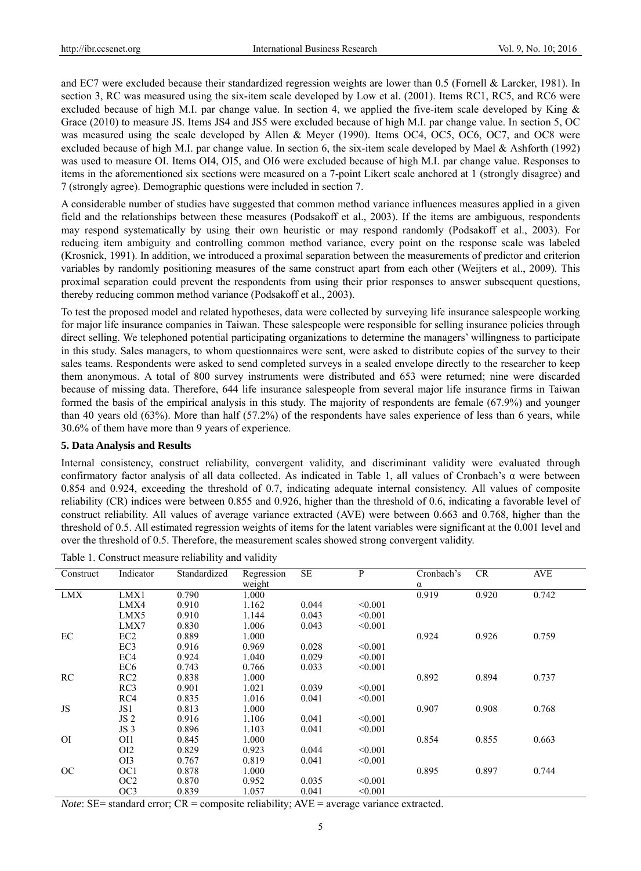and EC7 were excluded because their standardized regression weights are lower than 0.5 (Fornell & Larcker, 1981). In section 3, RC was measured using the six-item scale developed by Low et al. (2001). Items RC1, RC5, and RC6 were excluded because of high M.I. par change value. In section 4, we applied the five-item scale developed by King & Grace (2010) to measure JS. Items JS4 and JS5 were excluded because of high M.I. par change value. In section 5, OC was measured using the scale developed by Allen & Meyer (1990). Items OC4, OC5, OC6, OC7, and OC8 were excluded because of high M.I. par change value. In section 6, the six-item scale developed by Mael & Ashforth (1992) was used to measure OI. Items OI4, OI5, and OI6 were excluded because of high M.I. par change value. Responses to items in the aforementioned six sections were measured on a 7-point Likert scale anchored at 1 (strongly disagree) and 7 (strongly agree). Demographic questions were included in section 7.

A considerable number of studies have suggested that common method variance influences measures applied in a given field and the relationships between these measures (Podsakoff et al., 2003). If the items are ambiguous, respondents may respond systematically by using their own heuristic or may respond randomly (Podsakoff et al., 2003). For reducing item ambiguity and controlling common method variance, every point on the response scale was labeled (Krosnick, 1991). In addition, we introduced a proximal separation between the measurements of predictor and criterion variables by randomly positioning measures of the same construct apart from each other (Weijters et al., 2009). This proximal separation could prevent the respondents from using their prior responses to answer subsequent questions, thereby reducing common method variance (Podsakoff et al., 2003).

To test the proposed model and related hypotheses, data were collected by surveying life insurance salespeople working for major life insurance companies in Taiwan. These salespeople were responsible for selling insurance policies through direct selling. We telephoned potential participating organizations to determine the managers' willingness to participate in this study. Sales managers, to whom questionnaires were sent, were asked to distribute copies of the survey to their sales teams. Respondents were asked to send completed surveys in a sealed envelope directly to the researcher to keep them anonymous. A total of 800 survey instruments were distributed and 653 were returned; nine were discarded because of missing data. Therefore, 644 life insurance salespeople from several major life insurance firms in Taiwan formed the basis of the empirical analysis in this study. The majority of respondents are female (67.9%) and younger than 40 years old (63%). More than half (57.2%) of the respondents have sales experience of less than 6 years, while 30.6% of them have more than 9 years of experience.

### **5. Data Analysis and Results**

Internal consistency, construct reliability, convergent validity, and discriminant validity were evaluated through confirmatory factor analysis of all data collected. As indicated in Table 1, all values of Cronbach's α were between 0.854 and 0.924, exceeding the threshold of 0.7, indicating adequate internal consistency. All values of composite reliability (CR) indices were between 0.855 and 0.926, higher than the threshold of 0.6, indicating a favorable level of construct reliability. All values of average variance extracted (AVE) were between 0.663 and 0.768, higher than the threshold of 0.5. All estimated regression weights of items for the latent variables were significant at the 0.001 level and over the threshold of 0.5. Therefore, the measurement scales showed strong convergent validity.

| Construct      | Indicator       | Standardized | Regression | SE    | P       | Cronbach's | <b>CR</b> | AVE   |
|----------------|-----------------|--------------|------------|-------|---------|------------|-----------|-------|
|                |                 |              | weight     |       |         | $\alpha$   |           |       |
| <b>LMX</b>     | LMX1            | 0.790        | 1.000      |       |         | 0.919      | 0.920     | 0.742 |
|                | LMX4            | 0.910        | 1.162      | 0.044 | < 0.001 |            |           |       |
|                | LMX5            | 0.910        | 1.144      | 0.043 | < 0.001 |            |           |       |
|                | LMX7            | 0.830        | 1.006      | 0.043 | < 0.001 |            |           |       |
| EC             | EC <sub>2</sub> | 0.889        | 1.000      |       |         | 0.924      | 0.926     | 0.759 |
|                | EC <sub>3</sub> | 0.916        | 0.969      | 0.028 | < 0.001 |            |           |       |
|                | EC4             | 0.924        | 1.040      | 0.029 | < 0.001 |            |           |       |
|                | EC <sub>6</sub> | 0.743        | 0.766      | 0.033 | < 0.001 |            |           |       |
| RC             | RC2             | 0.838        | 1.000      |       |         | 0.892      | 0.894     | 0.737 |
|                | RC3             | 0.901        | 1.021      | 0.039 | < 0.001 |            |           |       |
|                | RC4             | 0.835        | 1.016      | 0.041 | < 0.001 |            |           |       |
| JS             | JS1             | 0.813        | 1.000      |       |         | 0.907      | 0.908     | 0.768 |
|                | JS <sub>2</sub> | 0.916        | 1.106      | 0.041 | < 0.001 |            |           |       |
|                | JS <sub>3</sub> | 0.896        | 1.103      | 0.041 | < 0.001 |            |           |       |
| O <sub>I</sub> | OI1             | 0.845        | 1.000      |       |         | 0.854      | 0.855     | 0.663 |
|                | OI <sub>2</sub> | 0.829        | 0.923      | 0.044 | < 0.001 |            |           |       |
|                | OI3             | 0.767        | 0.819      | 0.041 | < 0.001 |            |           |       |
| OC             | OC <sub>1</sub> | 0.878        | 1.000      |       |         | 0.895      | 0.897     | 0.744 |
|                | OC <sub>2</sub> | 0.870        | 0.952      | 0.035 | < 0.001 |            |           |       |
|                | OC3             | 0.839        | 1.057      | 0.041 | < 0.001 |            |           |       |

Table 1. Construct measure reliability and validity

*Note*: SE= standard error; CR = composite reliability; AVE = average variance extracted.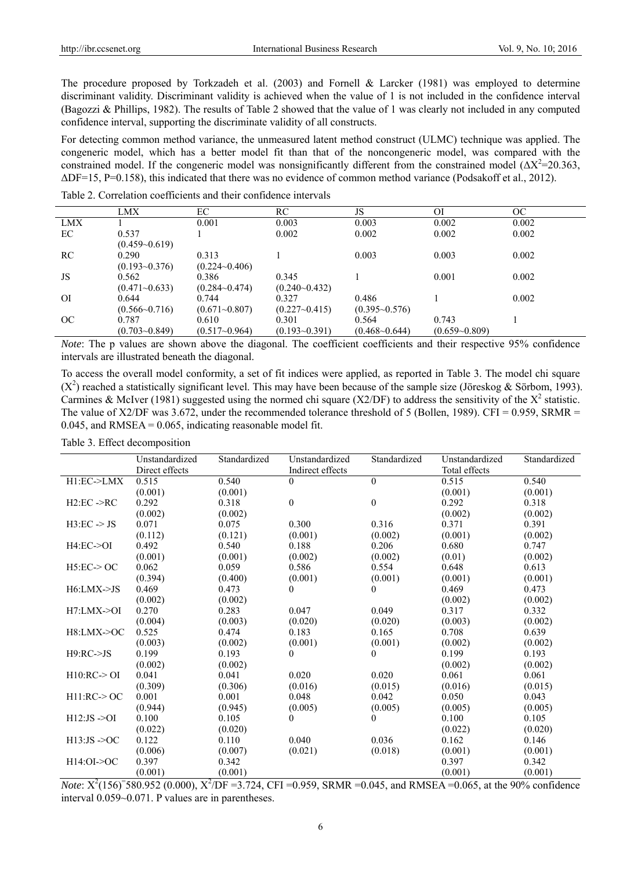The procedure proposed by Torkzadeh et al. (2003) and Fornell & Larcker (1981) was employed to determine discriminant validity. Discriminant validity is achieved when the value of 1 is not included in the confidence interval (Bagozzi & Phillips, 1982). The results of Table 2 showed that the value of 1 was clearly not included in any computed confidence interval, supporting the discriminate validity of all constructs.

For detecting common method variance, the unmeasured latent method construct (ULMC) technique was applied. The congeneric model, which has a better model fit than that of the noncongeneric model, was compared with the constrained model. If the congeneric model was nonsignificantly different from the constrained model  $(\Delta X^2 = 20.363)$ , ΔDF=15, P=0.158), this indicated that there was no evidence of common method variance (Podsakoff et al., 2012).

|     | LMX               | EС                | RC                | JS                | ΟI                | OC.   |
|-----|-------------------|-------------------|-------------------|-------------------|-------------------|-------|
| LMX |                   | 0.001             | 0.003             | 0.003             | 0.002             | 0.002 |
| EC  | 0.537             |                   | 0.002             | 0.002             | 0.002             | 0.002 |
|     | $(0.459 - 0.619)$ |                   |                   |                   |                   |       |
| RC  | 0.290             | 0.313             |                   | 0.003             | 0.003             | 0.002 |
|     | $(0.193 - 0.376)$ | $(0.224 - 0.406)$ |                   |                   |                   |       |
| JS  | 0.562             | 0.386             | 0.345             |                   | 0.001             | 0.002 |
|     | $(0.471 - 0.633)$ | $(0.284 - 0.474)$ | $(0.240 - 0.432)$ |                   |                   |       |
| OI  | 0.644             | 0.744             | 0.327             | 0.486             |                   | 0.002 |
|     | $(0.566 - 0.716)$ | $(0.671 - 0.807)$ | $(0.227 - 0.415)$ | $(0.395 - 0.576)$ |                   |       |
| OC  | 0.787             | 0.610             | 0.301             | 0.564             | 0.743             |       |
|     | $(0.703 - 0.849)$ | $(0.517 - 0.964)$ | $(0.193 - 0.391)$ | $(0.468 - 0.644)$ | $(0.659 - 0.809)$ |       |

Table 2. Correlation coefficients and their confidence intervals

*Note*: The p values are shown above the diagonal. The coefficient coefficients and their respective 95% confidence intervals are illustrated beneath the diagonal.

To access the overall model conformity, a set of fit indices were applied, as reported in Table 3. The model chi square  $(X^2)$  reached a statistically significant level. This may have been because of the sample size (Jöreskog & Sörbom, 1993). Carmines & McIver (1981) suggested using the normed chi square (X2/DF) to address the sensitivity of the  $X^2$  statistic. The value of X2/DF was 3.672, under the recommended tolerance threshold of 5 (Bollen, 1989). CFI = 0.959, SRMR = 0.045, and RMSEA = 0.065, indicating reasonable model fit.

Table 3. Effect decomposition

|                         | Unstandardized | Standardized | Unstandardized   | Standardized | Unstandardized | Standardized |
|-------------------------|----------------|--------------|------------------|--------------|----------------|--------------|
|                         | Direct effects |              | Indirect effects |              | Total effects  |              |
| H1:EC->LMX              | 0.515          | 0.540        | $\theta$         | $\theta$     | 0.515          | 0.540        |
|                         | (0.001)        | (0.001)      |                  |              | (0.001)        | (0.001)      |
| $H2:EC \rightarrow RC$  | 0.292          | 0.318        | $\overline{0}$   | $\mathbf{0}$ | 0.292          | 0.318        |
|                         | (0.002)        | (0.002)      |                  |              | (0.002)        | (0.002)      |
| $H3:EC \rightarrow JS$  | 0.071          | 0.075        | 0.300            | 0.316        | 0.371          | 0.391        |
|                         | (0.112)        | (0.121)      | (0.001)          | (0.002)      | (0.001)        | (0.002)      |
| $H4:EC=0$               | 0.492          | 0.540        | 0.188            | 0.206        | 0.680          | 0.747        |
|                         | (0.001)        | (0.001)      | (0.002)          | (0.002)      | (0.01)         | (0.002)      |
| $H5:EC \geq OC$         | 0.062          | 0.059        | 0.586            | 0.554        | 0.648          | 0.613        |
|                         | (0.394)        | (0.400)      | (0.001)          | (0.001)      | (0.001)        | (0.001)      |
| $H6:LMX \rightarrow JS$ | 0.469          | 0.473        | 0                | 0            | 0.469          | 0.473        |
|                         | (0.002)        | (0.002)      |                  |              | (0.002)        | (0.002)      |
| H7:LMX > OI             | 0.270          | 0.283        | 0.047            | 0.049        | 0.317          | 0.332        |
|                         | (0.004)        | (0.003)      | (0.020)          | (0.020)      | (0.003)        | (0.002)      |
| $H8:LMX-5OC$            | 0.525          | 0.474        | 0.183            | 0.165        | 0.708          | 0.639        |
|                         | (0.003)        | (0.002)      | (0.001)          | (0.001)      | (0.002)        | (0.002)      |
| $H9:RC \rightarrow JS$  | 0.199          | 0.193        | 0                | $\Omega$     | 0.199          | 0.193        |
|                         | (0.002)        | (0.002)      |                  |              | (0.002)        | (0.002)      |
| H10:RC>OI               | 0.041          | 0.041        | 0.020            | 0.020        | 0.061          | 0.061        |
|                         | (0.309)        | (0.306)      | (0.016)          | (0.015)      | (0.016)        | (0.015)      |
| $H11:RC \geq OC$        | 0.001          | 0.001        | 0.048            | 0.042        | 0.050          | 0.043        |
|                         | (0.944)        | (0.945)      | (0.005)          | (0.005)      | (0.005)        | (0.005)      |
| $H12:JS \rightarrow OI$ | 0.100          | 0.105        | 0                | $\Omega$     | 0.100          | 0.105        |
|                         | (0.022)        | (0.020)      |                  |              | (0.022)        | (0.020)      |
| $H13:JS \rightarrow OC$ | 0.122          | 0.110        | 0.040            | 0.036        | 0.162          | 0.146        |
|                         | (0.006)        | (0.007)      | (0.021)          | (0.018)      | (0.001)        | (0.001)      |
| $H14:OI-OC$             | 0.397          | 0.342        |                  |              | 0.397          | 0.342        |
|                         | (0.001)        | (0.001)      |                  |              | (0.001)        | (0.001)      |

*Note*:  $X^2(156)^5$ 580.952 (0.000),  $X^2/DF = 3.724$ , CFI =0.959, SRMR =0.045, and RMSEA =0.065, at the 90% confidence interval 0.059~0.071. P values are in parentheses.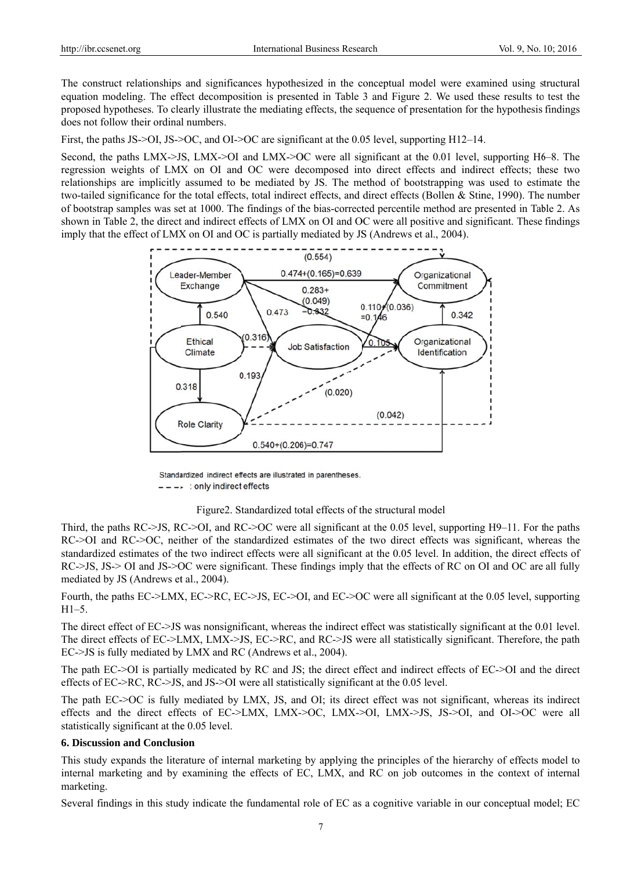The construct relationships and significances hypothesized in the conceptual model were examined using structural equation modeling. The effect decomposition is presented in Table 3 and Figure 2. We used these results to test the proposed hypotheses. To clearly illustrate the mediating effects, the sequence of presentation for the hypothesis findings does not follow their ordinal numbers.

First, the paths JS- $\geq$ OI, JS- $\geq$ OC, and OI- $\geq$ OC are significant at the 0.05 level, supporting H12–14.

Second, the paths LMX->JS, LMX->OI and LMX->OC were all significant at the 0.01 level, supporting  $H6-8$ . The regression weights of LMX on OI and OC were decomposed into direct effects and indirect effects; these two relationships are implicitly assumed to be mediated by JS. The method of bootstrapping was used to estimate the two-tailed significance for the total effects, total indirect effects, and direct effects (Bollen & Stine, 1990). The number of bootstrap samples was set at 1000. The findings of the bias-corrected percentile method are presented in Table 2. As shown in Table 2, the direct and indirect effects of LMX on OI and OC were all positive and significant. These findings imply that the effect of LMX on OI and OC is partially mediated by JS (Andrews et al., 2004).



Standardized indirect effects are illustrated in parentheses.  $--- \rightarrow$ : only indirect effects

Figure 2. Standardized total effects of the structural model

Third, the paths RC->JS, RC->OI, and RC->OC were all significant at the 0.05 level, supporting H9-11. For the paths RC->OI and RC->OC, neither of the standardized estimates of the two direct effects was significant, whereas the standardized estimates of the two indirect effects were all significant at the 0.05 level. In addition, the direct effects of RC->JS, JS-> OI and JS->OC were significant. These findings imply that the effects of RC on OI and OC are all fully mediated by JS (Andrews et al., 2004).

Fourth, the paths EC->LMX, EC->RC, EC->JS, EC->OI, and EC->OC were all significant at the 0.05 level, supporting  $H1-5$ .

The direct effect of EC->JS was nonsignificant, whereas the indirect effect was statistically significant at the 0.01 level. The direct effects of EC->LMX, LMX->JS, EC->RC, and RC->JS were all statistically significant. Therefore, the path EC->JS is fully mediated by LMX and RC (Andrews et al., 2004).

The path EC->OI is partially medicated by RC and JS; the direct effect and indirect effects of EC->OI and the direct effects of EC->RC, RC->JS, and JS->OI were all statistically significant at the  $0.05$  level.

The path EC->OC is fully mediated by LMX, JS, and OI; its direct effect was not significant, whereas its indirect effects and the direct effects of EC->LMX, LMX->OC, LMX->OI, LMX->JS, JS->OI, and OI->OC were all statistically significant at the 0.05 level.

#### **6. Discussion and Conclusion**

This study expands the literature of internal marketing by applying the principles of the hierarchy of effects model to internal marketing and by examining the effects of EC, LMX, and RC on job outcomes in the context of internal marketing.

Several findings in this study indicate the fundamental role of EC as a cognitive variable in our conceptual model; EC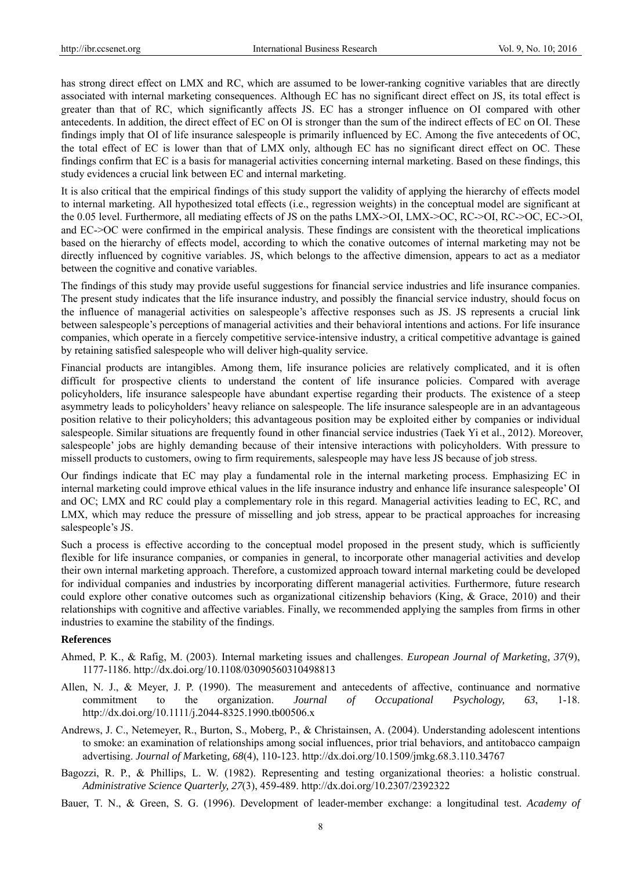has strong direct effect on LMX and RC, which are assumed to be lower-ranking cognitive variables that are directly associated with internal marketing consequences. Although EC has no significant direct effect on JS, its total effect is greater than that of RC, which significantly affects JS. EC has a stronger influence on OI compared with other antecedents. In addition, the direct effect of EC on OI is stronger than the sum of the indirect effects of EC on OI. These findings imply that OI of life insurance salespeople is primarily influenced by EC. Among the five antecedents of OC, the total effect of EC is lower than that of LMX only, although EC has no significant direct effect on OC. These findings confirm that EC is a basis for managerial activities concerning internal marketing. Based on these findings, this study evidences a crucial link between EC and internal marketing.

It is also critical that the empirical findings of this study support the validity of applying the hierarchy of effects model to internal marketing. All hypothesized total effects (i.e., regression weights) in the conceptual model are significant at the 0.05 level. Furthermore, all mediating effects of JS on the paths LMX->OI, LMX->OC, RC->OI, RC->OC, EC->OI, and EC->OC were confirmed in the empirical analysis. These findings are consistent with the theoretical implications based on the hierarchy of effects model, according to which the conative outcomes of internal marketing may not be directly influenced by cognitive variables. JS, which belongs to the affective dimension, appears to act as a mediator between the cognitive and conative variables.

The findings of this study may provide useful suggestions for financial service industries and life insurance companies. The present study indicates that the life insurance industry, and possibly the financial service industry, should focus on the influence of managerial activities on salespeople's affective responses such as JS. JS represents a crucial link between salespeople's perceptions of managerial activities and their behavioral intentions and actions. For life insurance companies, which operate in a fiercely competitive service-intensive industry, a critical competitive advantage is gained by retaining satisfied salespeople who will deliver high-quality service.

Financial products are intangibles. Among them, life insurance policies are relatively complicated, and it is often difficult for prospective clients to understand the content of life insurance policies. Compared with average policyholders, life insurance salespeople have abundant expertise regarding their products. The existence of a steep asymmetry leads to policyholders' heavy reliance on salespeople. The life insurance salespeople are in an advantageous position relative to their policyholders; this advantageous position may be exploited either by companies or individual salespeople. Similar situations are frequently found in other financial service industries (Taek Yi et al., 2012). Moreover, salespeople' jobs are highly demanding because of their intensive interactions with policyholders. With pressure to missell products to customers, owing to firm requirements, salespeople may have less JS because of job stress.

Our findings indicate that EC may play a fundamental role in the internal marketing process. Emphasizing EC in internal marketing could improve ethical values in the life insurance industry and enhance life insurance salespeople' OI and OC; LMX and RC could play a complementary role in this regard. Managerial activities leading to EC, RC, and LMX, which may reduce the pressure of misselling and job stress, appear to be practical approaches for increasing salespeople's JS.

Such a process is effective according to the conceptual model proposed in the present study, which is sufficiently flexible for life insurance companies, or companies in general, to incorporate other managerial activities and develop their own internal marketing approach. Therefore, a customized approach toward internal marketing could be developed for individual companies and industries by incorporating different managerial activities. Furthermore, future research could explore other conative outcomes such as organizational citizenship behaviors (King, & Grace, 2010) and their relationships with cognitive and affective variables. Finally, we recommended applying the samples from firms in other industries to examine the stability of the findings.

#### **References**

- Ahmed, P. K., & Rafig, M. (2003). Internal marketing issues and challenges. *European Journal of Marketi*ng*, 37*(9), 1177-1186. http://dx.doi.org/10.1108/03090560310498813
- Allen, N. J., & Meyer, J. P. (1990). The measurement and antecedents of affective, continuance and normative commitment to the organization. *Journal of Occupational Psychology, 63*, 1-18. http://dx.doi.org/10.1111/j.2044-8325.1990.tb00506.x
- Andrews, J. C., Netemeyer, R., Burton, S., Moberg, P., & Christainsen, A. (2004). Understanding adolescent intentions to smoke: an examination of relationships among social influences, prior trial behaviors, and antitobacco campaign advertising. *Journal of M*arketing*, 68*(4), 110-123. http://dx.doi.org/10.1509/jmkg.68.3.110.34767
- Bagozzi, R. P., & Phillips, L. W. (1982). Representing and testing organizational theories: a holistic construal. *Administrative Science Quarterly, 27*(3), 459-489. http://dx.doi.org/10.2307/2392322
- Bauer, T. N., & Green, S. G. (1996). Development of leader-member exchange: a longitudinal test. *Academy of*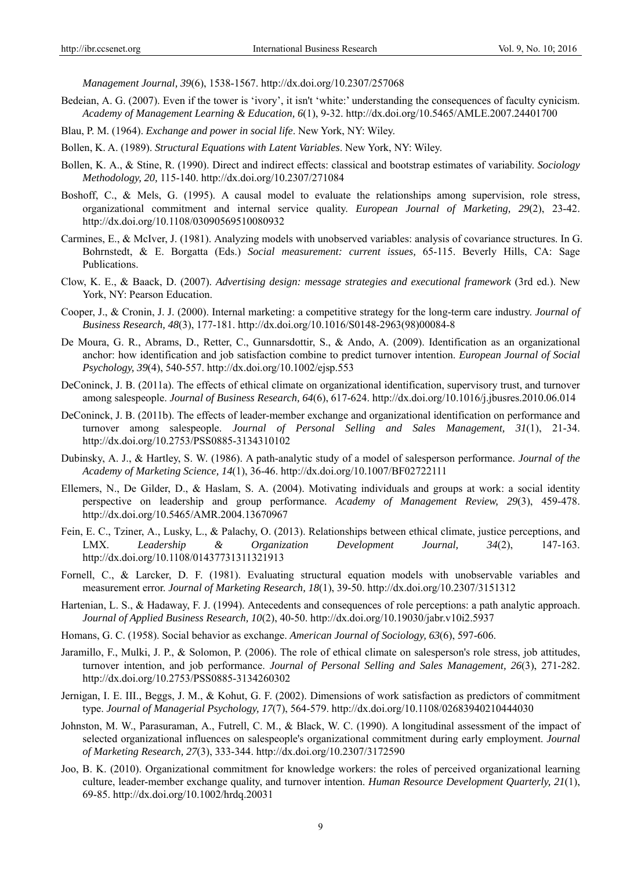*Management Journal, 39*(6), 1538-1567. http://dx.doi.org/10.2307/257068

- Bedeian, A. G. (2007). Even if the tower is 'ivory', it isn't 'white:' understanding the consequences of faculty cynicism. *Academy of Management Learning & Education, 6*(1), 9-32. http://dx.doi.org/10.5465/AMLE.2007.24401700
- Blau, P. M. (1964). *Exchange and power in social life*. New York, NY: Wiley.
- Bollen, K. A. (1989). *Structural Equations with Latent Variables*. New York, NY: Wiley.
- Bollen, K. A., & Stine, R. (1990). Direct and indirect effects: classical and bootstrap estimates of variability. *Sociology Methodology, 20,* 115-140. http://dx.doi.org/10.2307/271084
- Boshoff, C., & Mels, G. (1995). A causal model to evaluate the relationships among supervision, role stress, organizational commitment and internal service quality. *European Journal of Marketing, 29*(2), 23-42. http://dx.doi.org/10.1108/03090569510080932
- Carmines, E., & McIver, J. (1981). Analyzing models with unobserved variables: analysis of covariance structures. In G. Bohrnstedt, & E. Borgatta (Eds.) *Social measurement: current issues,* 65-115. Beverly Hills, CA: Sage Publications.
- Clow, K. E., & Baack, D. (2007). *Advertising design: message strategies and executional framework* (3rd ed.). New York, NY: Pearson Education.
- Cooper, J., & Cronin, J. J. (2000). Internal marketing: a competitive strategy for the long-term care industry. *Journal of Business Research, 48*(3), 177-181. http://dx.doi.org/10.1016/S0148-2963(98)00084-8
- De Moura, G. R., Abrams, D., Retter, C., Gunnarsdottir, S., & Ando, A. (2009). Identification as an organizational anchor: how identification and job satisfaction combine to predict turnover intention. *European Journal of Social Psychology, 39*(4), 540-557. http://dx.doi.org/10.1002/ejsp.553
- DeConinck, J. B. (2011a). The effects of ethical climate on organizational identification, supervisory trust, and turnover among salespeople. *Journal of Business Research, 64*(6), 617-624. http://dx.doi.org/10.1016/j.jbusres.2010.06.014
- DeConinck, J. B. (2011b). The effects of leader-member exchange and organizational identification on performance and turnover among salespeople. *Journal of Personal Selling and Sales Management, 31*(1), 21-34. http://dx.doi.org/10.2753/PSS0885-3134310102
- Dubinsky, A. J., & Hartley, S. W. (1986). A path-analytic study of a model of salesperson performance. *Journal of the Academy of Marketing Science, 14*(1), 36-46. http://dx.doi.org/10.1007/BF02722111
- Ellemers, N., De Gilder, D., & Haslam, S. A. (2004). Motivating individuals and groups at work: a social identity perspective on leadership and group performance. *Academy of Management Review, 29*(3), 459-478. http://dx.doi.org/10.5465/AMR.2004.13670967
- Fein, E. C., Tziner, A., Lusky, L., & Palachy, O. (2013). Relationships between ethical climate, justice perceptions, and LMX. *Leadership & Organization Development Journal, 34*(2), 147-163. http://dx.doi.org/10.1108/01437731311321913
- Fornell, C., & Larcker, D. F. (1981). Evaluating structural equation models with unobservable variables and measurement error. *Journal of Marketing Research, 18*(1), 39-50. http://dx.doi.org/10.2307/3151312
- Hartenian, L. S., & Hadaway, F. J. (1994). Antecedents and consequences of role perceptions: a path analytic approach. *Journal of Applied Business Research, 10*(2), 40-50. http://dx.doi.org/10.19030/jabr.v10i2.5937
- Homans, G. C. (1958). Social behavior as exchange. *American Journal of Sociology, 63*(6), 597-606.
- Jaramillo, F., Mulki, J. P., & Solomon, P. (2006). The role of ethical climate on salesperson's role stress, job attitudes, turnover intention, and job performance. *Journal of Personal Selling and Sales Management, 26*(3), 271-282. http://dx.doi.org/10.2753/PSS0885-3134260302
- Jernigan, I. E. III., Beggs, J. M., & Kohut, G. F. (2002). Dimensions of work satisfaction as predictors of commitment type. *Journal of Managerial Psychology, 17*(7), 564-579. http://dx.doi.org/10.1108/02683940210444030
- Johnston, M. W., Parasuraman, A., Futrell, C. M., & Black, W. C. (1990). A longitudinal assessment of the impact of selected organizational influences on salespeople's organizational commitment during early employment. *Journal of Marketing Research, 27*(3), 333-344. http://dx.doi.org/10.2307/3172590
- Joo, B. K. (2010). Organizational commitment for knowledge workers: the roles of perceived organizational learning culture, leader-member exchange quality, and turnover intention. *Human Resource Development Quarterly, 21*(1), 69-85. http://dx.doi.org/10.1002/hrdq.20031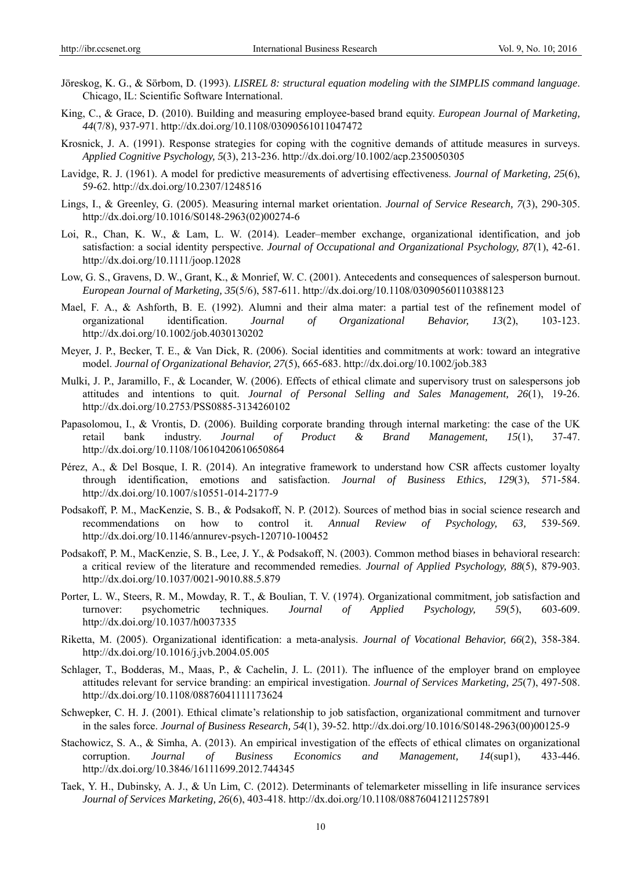- Jöreskog, K. G., & Sörbom, D. (1993). *LISREL 8: structural equation modeling with the SIMPLIS command language*. Chicago, IL: Scientific Software International.
- King, C., & Grace, D. (2010). Building and measuring employee-based brand equity. *European Journal of Marketing, 44*(7/8), 937-971. http://dx.doi.org/10.1108/03090561011047472
- Krosnick, J. A. (1991). Response strategies for coping with the cognitive demands of attitude measures in surveys. *Applied Cognitive Psychology, 5*(3), 213-236. http://dx.doi.org/10.1002/acp.2350050305
- Lavidge, R. J. (1961). A model for predictive measurements of advertising effectiveness. *Journal of Marketing, 25*(6), 59-62. http://dx.doi.org/10.2307/1248516
- Lings, I., & Greenley, G. (2005). Measuring internal market orientation. *Journal of Service Research, 7*(3), 290-305. http://dx.doi.org/10.1016/S0148-2963(02)00274-6
- Loi, R., Chan, K. W., & Lam, L. W. (2014). Leader–member exchange, organizational identification, and job satisfaction: a social identity perspective. *Journal of Occupational and Organizational Psychology, 87*(1), 42-61. http://dx.doi.org/10.1111/joop.12028
- Low, G. S., Gravens, D. W., Grant, K., & Monrief, W. C. (2001). Antecedents and consequences of salesperson burnout. *European Journal of Marketing, 35*(5/6), 587-611. http://dx.doi.org/10.1108/03090560110388123
- Mael, F. A., & Ashforth, B. E. (1992). Alumni and their alma mater: a partial test of the refinement model of organizational identification. *Journal of Organizational Behavior, 13*(2), 103-123. http://dx.doi.org/10.1002/job.4030130202
- Meyer, J. P., Becker, T. E., & Van Dick, R. (2006). Social identities and commitments at work: toward an integrative model. *Journal of Organizational Behavior, 27*(5), 665-683. http://dx.doi.org/10.1002/job.383
- Mulki, J. P., Jaramillo, F., & Locander, W. (2006). Effects of ethical climate and supervisory trust on salespersons job attitudes and intentions to quit. *Journal of Personal Selling and Sales Management, 26*(1), 19-26. http://dx.doi.org/10.2753/PSS0885-3134260102
- Papasolomou, I., & Vrontis, D. (2006). Building corporate branding through internal marketing: the case of the UK retail bank industry. *Journal of Product & Brand Management, 15*(1), 37-47. http://dx.doi.org/10.1108/10610420610650864
- Pérez, A., & Del Bosque, I. R. (2014). An integrative framework to understand how CSR affects customer loyalty through identification, emotions and satisfaction. *Journal of Business Ethics, 129*(3), 571-584. http://dx.doi.org/10.1007/s10551-014-2177-9
- Podsakoff, P. M., MacKenzie, S. B., & Podsakoff, N. P. (2012). Sources of method bias in social science research and recommendations on how to control it. *Annual Review of Psychology, 63,* 539-569. http://dx.doi.org/10.1146/annurev-psych-120710-100452
- Podsakoff, P. M., MacKenzie, S. B., Lee, J. Y., & Podsakoff, N. (2003). Common method biases in behavioral research: a critical review of the literature and recommended remedies. *Journal of Applied Psychology, 88*(5), 879-903. http://dx.doi.org/10.1037/0021-9010.88.5.879
- Porter, L. W., Steers, R. M., Mowday, R. T., & Boulian, T. V. (1974). Organizational commitment, job satisfaction and turnover: psychometric techniques. *Journal of Applied Psychology, 59*(5), 603-609. http://dx.doi.org/10.1037/h0037335
- Riketta, M. (2005). Organizational identification: a meta-analysis. *Journal of Vocational Behavior, 66*(2), 358-384. http://dx.doi.org/10.1016/j.jvb.2004.05.005
- Schlager, T., Bodderas, M., Maas, P., & Cachelin, J. L. (2011). The influence of the employer brand on employee attitudes relevant for service branding: an empirical investigation. *Journal of Services Marketing, 25*(7), 497-508. http://dx.doi.org/10.1108/08876041111173624
- Schwepker, C. H. J. (2001). Ethical climate's relationship to job satisfaction, organizational commitment and turnover in the sales force. *Journal of Business Research, 54*(1), 39-52. http://dx.doi.org/10.1016/S0148-2963(00)00125-9
- Stachowicz, S. A., & Simha, A. (2013). An empirical investigation of the effects of ethical climates on organizational corruption. *Journal of Business Economics and Management, 14*(sup1), 433-446. http://dx.doi.org/10.3846/16111699.2012.744345
- Taek, Y. H., Dubinsky, A. J., & Un Lim, C. (2012). Determinants of telemarketer misselling in life insurance services *Journal of Services Marketing, 26*(6), 403-418. http://dx.doi.org/10.1108/08876041211257891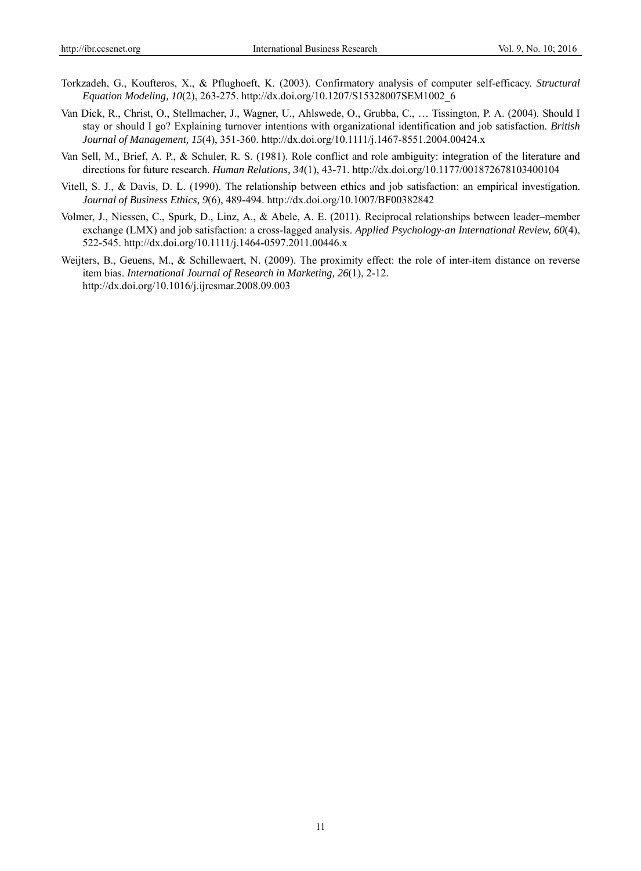- Torkzadeh, G., Koufteros, X., & Pflughoeft, K. (2003). Confirmatory analysis of computer self-efficacy. *Structural Equation Modeling, 10*(2), 263-275. http://dx.doi.org/10.1207/S15328007SEM1002\_6
- Van Dick, R., Christ, O., Stellmacher, J., Wagner, U., Ahlswede, O., Grubba, C., … Tissington, P. A. (2004). Should I stay or should I go? Explaining turnover intentions with organizational identification and job satisfaction. *British Journal of Management, 15*(4), 351-360. http://dx.doi.org/10.1111/j.1467-8551.2004.00424.x
- Van Sell, M., Brief, A. P., & Schuler, R. S. (1981). Role conflict and role ambiguity: integration of the literature and directions for future research. *Human Relations, 34*(1), 43-71. http://dx.doi.org/10.1177/001872678103400104
- Vitell, S. J., & Davis, D. L. (1990). The relationship between ethics and job satisfaction: an empirical investigation. *Journal of Business Ethics, 9*(6), 489-494. http://dx.doi.org/10.1007/BF00382842
- Volmer, J., Niessen, C., Spurk, D., Linz, A., & Abele, A. E. (2011). Reciprocal relationships between leader–member exchange (LMX) and job satisfaction: a cross-lagged analysis. *Applied Psychology-an International Review, 60*(4), 522-545. http://dx.doi.org/10.1111/j.1464-0597.2011.00446.x
- Weijters, B., Geuens, M., & Schillewaert, N. (2009). The proximity effect: the role of inter-item distance on reverse item bias. *International Journal of Research in Marketing, 26*(1), 2-12. http://dx.doi.org/10.1016/j.ijresmar.2008.09.003